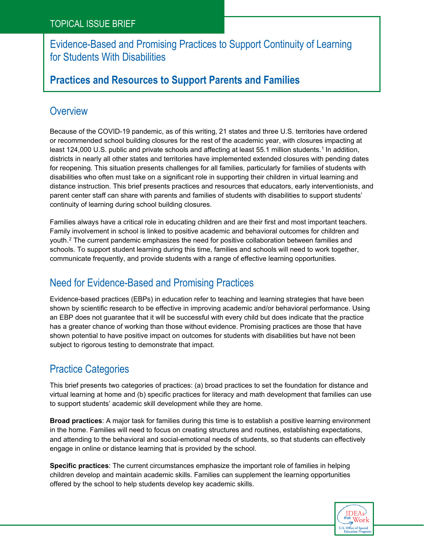Evidence-Based and Promising Practices to Support Continuity of Learning for Students With Disabilities

## **Practices and Resources to Support Parents and Families**

# **Overview**

Because of the COVID-19 pandemic, as of this writing, 21 states and three U.S. territories have ordered or recommended school building closures for the rest of the academic year, with closures impacting at least [1](#page-15-0)24,000 U.S. public and private schools and affecting at least 55.1 million students.<sup>1</sup> In addition, districts in nearly all other states and territories have implemented extended closures with pending dates for reopening. This situation presents challenges for all families, particularly for families of students with disabilities who often must take on a significant role in supporting their children in virtual learning and distance instruction. This brief presents practices and resources that educators, early interventionists, and parent center staff can share with parents and families of students with disabilities to support students' continuity of learning during school building closures.

Families always have a critical role in educating children and are their first and most important teachers. Family involvement in school is linked to positive academic and behavioral outcomes for children and youth.[2](#page-15-0) The current pandemic emphasizes the need for positive collaboration between families and schools. To support student learning during this time, families and schools will need to work together, communicate frequently, and provide students with a range of effective learning opportunities.

# Need for Evidence-Based and Promising Practices

Evidence-based practices (EBPs) in education refer to teaching and learning strategies that have been shown by scientific research to be effective in improving academic and/or behavioral performance. Using an EBP does not guarantee that it will be successful with every child but does indicate that the practice has a greater chance of working than those without evidence. Promising practices are those that have shown potential to have positive impact on outcomes for students with disabilities but have not been subject to rigorous testing to demonstrate that impact.

# Practice Categories

This brief presents two categories of practices: (a) broad practices to set the foundation for distance and virtual learning at home and (b) specific practices for literacy and math development that families can use to support students' academic skill development while they are home.

**Broad practices**: A major task for families during this time is to establish a positive learning environment in the home. Families will need to focus on creating structures and routines, establishing expectations, and attending to the behavioral and social-emotional needs of students, so that students can effectively engage in online or distance learning that is provided by the school.

**Specific practices**: The current circumstances emphasize the important role of families in helping children develop and maintain academic skills. Families can supplement the learning opportunities offered by the school to help students develop key academic skills.

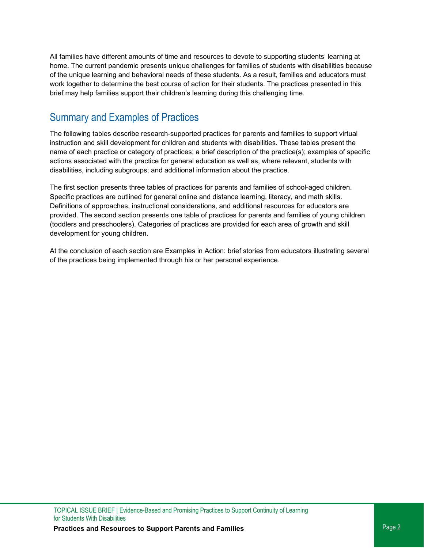All families have different amounts of time and resources to devote to supporting students' learning at home. The current pandemic presents unique challenges for families of students with disabilities because of the unique learning and behavioral needs of these students. As a result, families and educators must work together to determine the best course of action for their students. The practices presented in this brief may help families support their children's learning during this challenging time.

## Summary and Examples of Practices

The following tables describe research-supported practices for parents and families to support virtual instruction and skill development for children and students with disabilities. These tables present the name of each practice or category of practices; a brief description of the practice(s); examples of specific actions associated with the practice for general education as well as, where relevant, students with disabilities, including subgroups; and additional information about the practice.

The first section presents three tables of practices for parents and families of school-aged children. Specific practices are outlined for general online and distance learning, literacy, and math skills. Definitions of approaches, instructional considerations, and additional resources for educators are provided. The second section presents one table of practices for parents and families of young children (toddlers and preschoolers). Categories of practices are provided for each area of growth and skill development for young children.

At the conclusion of each section are Examples in Action: brief stories from educators illustrating several of the practices being implemented through his or her personal experience.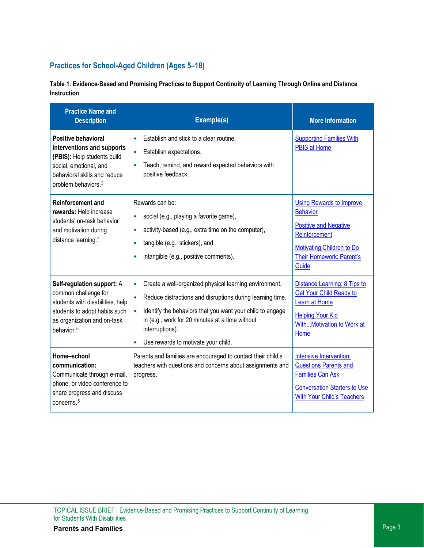## **Practices for School-Aged Children (Ages 5–18)**

**Table 1. Evidence-Based and Promising Practices to Support Continuity of Learning Through Online and Distance Instruction** 

| <b>Practice Name and</b><br><b>Description</b>                                                                                                                                   | Example(s)                                                                                                                                                                                                                                                                                                 | <b>More Information</b>                                                                                                                                                      |
|----------------------------------------------------------------------------------------------------------------------------------------------------------------------------------|------------------------------------------------------------------------------------------------------------------------------------------------------------------------------------------------------------------------------------------------------------------------------------------------------------|------------------------------------------------------------------------------------------------------------------------------------------------------------------------------|
| Positive behavioral<br>interventions and supports<br>(PBIS): Help students build<br>social, emotional, and<br>behavioral skills and reduce<br>problem behaviors. <sup>3</sup>    | Establish and stick to a clear routine.<br>Establish expectations.<br>Teach, remind, and reward expected behaviors with<br>positive feedback.                                                                                                                                                              | <b>Supporting Families With</b><br><b>PBIS at Home</b>                                                                                                                       |
| <b>Reinforcement and</b><br>rewards: Help increase<br>students' on-task behavior<br>and motivation during<br>distance learning. <sup>4</sup>                                     | Rewards can be:<br>social (e.g., playing a favorite game),<br>activity-based (e.g., extra time on the computer),<br>tangible (e.g., stickers), and<br>$\bullet$<br>intangible (e.g., positive comments).                                                                                                   | <b>Using Rewards to Improve</b><br><b>Behavior</b><br><b>Positive and Negative</b><br>Reinforcement<br><b>Motivating Children to Do</b><br>Their Homework: Parent's<br>Guide |
| Self-regulation support: A<br>common challenge for<br>students with disabilities; help<br>students to adopt habits such<br>as organization and on-task<br>behavior. <sup>5</sup> | Create a well-organized physical learning environment.<br>Reduce distractions and disruptions during learning time.<br>Identify the behaviors that you want your child to engage<br>in (e.g., work for 20 minutes at a time without<br>interruptions).<br>Use rewards to motivate your child.<br>$\bullet$ | Distance Learning: 8 Tips to<br><b>Get Your Child Ready to</b><br>Learn at Home<br><b>Helping Your Kid</b><br>WithMotivation to Work at<br>Home                              |
| Home-school<br>communication:<br>Communicate through e-mail,<br>phone, or video conference to<br>share progress and discuss<br>concerns. <sup>6</sup>                            | Parents and families are encouraged to contact their child's<br>teachers with questions and concerns about assignments and<br>progress.                                                                                                                                                                    | Intensive Intervention:<br><b>Questions Parents and</b><br><b>Families Can Ask</b><br><b>Conversation Starters to Use</b><br><b>With Your Child's Teachers</b>               |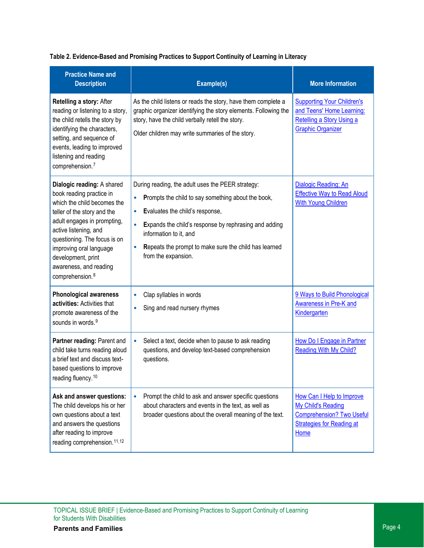|  |  | Table 2. Evidence-Based and Promising Practices to Support Continuity of Learning in Literacy |
|--|--|-----------------------------------------------------------------------------------------------|
|--|--|-----------------------------------------------------------------------------------------------|

| <b>Practice Name and</b><br><b>Description</b>                                                                                                                                                                                                                                                                         | Example(s)                                                                                                                                                                                                                                                                                                                                                        | <b>More Information</b>                                                                                                         |
|------------------------------------------------------------------------------------------------------------------------------------------------------------------------------------------------------------------------------------------------------------------------------------------------------------------------|-------------------------------------------------------------------------------------------------------------------------------------------------------------------------------------------------------------------------------------------------------------------------------------------------------------------------------------------------------------------|---------------------------------------------------------------------------------------------------------------------------------|
| Retelling a story: After<br>reading or listening to a story,<br>the child retells the story by<br>identifying the characters,<br>setting, and sequence of<br>events, leading to improved<br>listening and reading<br>comprehension. <sup>7</sup>                                                                       | As the child listens or reads the story, have them complete a<br>graphic organizer identifying the story elements. Following the<br>story, have the child verbally retell the story.<br>Older children may write summaries of the story.                                                                                                                          | <b>Supporting Your Children's</b><br>and Teens' Home Learning:<br>Retelling a Story Using a<br><b>Graphic Organizer</b>         |
| Dialogic reading: A shared<br>book reading practice in<br>which the child becomes the<br>teller of the story and the<br>adult engages in prompting,<br>active listening, and<br>questioning. The focus is on<br>improving oral language<br>development, print<br>awareness, and reading<br>comprehension. <sup>8</sup> | During reading, the adult uses the PEER strategy:<br>Prompts the child to say something about the book,<br>$\bullet$<br>Evaluates the child's response,<br>$\bullet$<br>$\bullet$<br>Expands the child's response by rephrasing and adding<br>information to it, and<br>Repeats the prompt to make sure the child has learned<br>$\bullet$<br>from the expansion. | Dialogic Reading: An<br><b>Effective Way to Read Aloud</b><br><b>With Young Children</b>                                        |
| <b>Phonological awareness</b><br>activities: Activities that<br>promote awareness of the<br>sounds in words. <sup>9</sup>                                                                                                                                                                                              | Clap syllables in words<br>$\bullet$<br>Sing and read nursery rhymes<br>$\bullet$                                                                                                                                                                                                                                                                                 | 9 Ways to Build Phonological<br>Awareness in Pre-K and<br>Kindergarten                                                          |
| Partner reading: Parent and<br>child take turns reading aloud<br>a brief text and discuss text-<br>based questions to improve<br>reading fluency. <sup>10</sup>                                                                                                                                                        | Select a text, decide when to pause to ask reading<br>$\bullet$<br>questions, and develop text-based comprehension<br>questions.                                                                                                                                                                                                                                  | How Do I Engage in Partner<br><b>Reading With My Child?</b>                                                                     |
| Ask and answer questions:<br>The child develops his or her<br>own questions about a text<br>and answers the questions<br>after reading to improve<br>reading comprehension. <sup>11,12</sup>                                                                                                                           | Prompt the child to ask and answer specific questions<br>about characters and events in the text, as well as<br>broader questions about the overall meaning of the text.                                                                                                                                                                                          | How Can I Help to Improve<br>My Child's Reading<br><b>Comprehension? Two Useful</b><br><b>Strategies for Reading at</b><br>Home |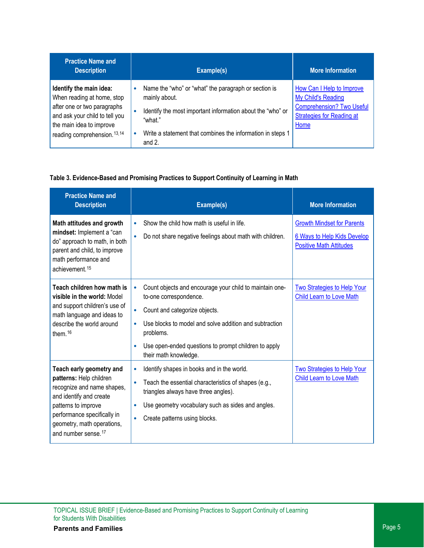| <b>Description</b>                                                                                                                                                                                                        |                                                                                                                                                                                  |                                                                                                                                 |
|---------------------------------------------------------------------------------------------------------------------------------------------------------------------------------------------------------------------------|----------------------------------------------------------------------------------------------------------------------------------------------------------------------------------|---------------------------------------------------------------------------------------------------------------------------------|
| Identify the main idea:<br>When reading at home, stop<br>mainly about.<br>after one or two paragraphs<br>and ask your child to tell you<br>"what."<br>the main idea to improve<br>reading comprehension. <sup>13,14</sup> | Name the "who" or "what" the paragraph or section is<br>Identify the most important information about the "who" or<br>Write a statement that combines the information in steps 1 | How Can I Help to Improve<br>My Child's Reading<br><b>Comprehension? Two Useful</b><br><b>Strategies for Reading at</b><br>Home |

### **Table 3. Evidence-Based and Promising Practices to Support Continuity of Learning in Math**

| <b>Practice Name and</b><br><b>Description</b>                                                                                                                                                                                      | Example(s)                                                                                                                                                                                                                                                                                                | <b>More Information</b>                                                                            |
|-------------------------------------------------------------------------------------------------------------------------------------------------------------------------------------------------------------------------------------|-----------------------------------------------------------------------------------------------------------------------------------------------------------------------------------------------------------------------------------------------------------------------------------------------------------|----------------------------------------------------------------------------------------------------|
| Math attitudes and growth<br>mindset: Implement a "can<br>do" approach to math, in both<br>parent and child, to improve<br>math performance and<br>achievement. <sup>15</sup>                                                       | Show the child how math is useful in life.<br>$\bullet$<br>Do not share negative feelings about math with children.<br>$\bullet$                                                                                                                                                                          | <b>Growth Mindset for Parents</b><br>6 Ways to Help Kids Develop<br><b>Positive Math Attitudes</b> |
| Teach children how math is<br>visible in the world: Model<br>and support children's use of<br>math language and ideas to<br>describe the world around<br>them. $16$                                                                 | Count objects and encourage your child to maintain one-<br>to-one correspondence.<br>Count and categorize objects.<br>$\bullet$<br>Use blocks to model and solve addition and subtraction<br>$\bullet$<br>problems.<br>Use open-ended questions to prompt children to apply<br>۰<br>their math knowledge. | <b>Two Strategies to Help Your</b><br><b>Child Learn to Love Math</b>                              |
| Teach early geometry and<br>patterns: Help children<br>recognize and name shapes,<br>and identify and create<br>patterns to improve<br>performance specifically in<br>geometry, math operations,<br>and number sense. <sup>17</sup> | Identify shapes in books and in the world.<br>$\bullet$<br>Teach the essential characteristics of shapes (e.g.,<br>triangles always have three angles).<br>Use geometry vocabulary such as sides and angles.<br>$\bullet$<br>Create patterns using blocks.<br>$\bullet$                                   | <b>Two Strategies to Help Your</b><br><b>Child Learn to Love Math</b>                              |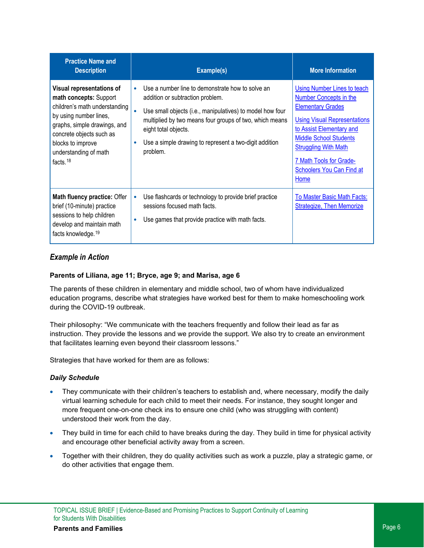| <b>Practice Name and</b><br><b>Description</b>                                                                                                                                                                                                          | Example(s)                                                                                                                                                                                                                                                                                                                   | <b>More Information</b>                                                                                                                                                                                                                                                                            |
|---------------------------------------------------------------------------------------------------------------------------------------------------------------------------------------------------------------------------------------------------------|------------------------------------------------------------------------------------------------------------------------------------------------------------------------------------------------------------------------------------------------------------------------------------------------------------------------------|----------------------------------------------------------------------------------------------------------------------------------------------------------------------------------------------------------------------------------------------------------------------------------------------------|
| <b>Visual representations of</b><br>math concepts: Support<br>children's math understanding<br>by using number lines,<br>graphs, simple drawings, and<br>concrete objects such as<br>blocks to improve<br>understanding of math<br>facts. <sup>18</sup> | Use a number line to demonstrate how to solve an<br>$\bullet$<br>addition or subtraction problem.<br>Use small objects (i.e., manipulatives) to model how four<br>multiplied by two means four groups of two, which means<br>eight total objects.<br>Use a simple drawing to represent a two-digit addition<br>٠<br>problem. | <b>Using Number Lines to teach</b><br>Number Concepts in the<br><b>Elementary Grades</b><br><b>Using Visual Representations</b><br>to Assist Elementary and<br><b>Middle School Students</b><br><b>Struggling With Math</b><br>7 Math Tools for Grade-<br><b>Schoolers You Can Find at</b><br>Home |
| Math fluency practice: Offer<br>brief (10-minute) practice<br>sessions to help children<br>develop and maintain math<br>facts knowledge. <sup>19</sup>                                                                                                  | Use flashcards or technology to provide brief practice<br>$\bullet$<br>sessions focused math facts.<br>Use games that provide practice with math facts.<br>Ċ                                                                                                                                                                 | To Master Basic Math Facts:<br><b>Strategize, Then Memorize</b>                                                                                                                                                                                                                                    |

### *Example in Action*

#### **Parents of Liliana, age 11; Bryce, age 9; and Marisa, age 6**

The parents of these children in elementary and middle school, two of whom have individualized education programs, describe what strategies have worked best for them to make homeschooling work during the COVID-19 outbreak.

Their philosophy: "We communicate with the teachers frequently and follow their lead as far as instruction. They provide the lessons and we provide the support. We also try to create an environment that facilitates learning even beyond their classroom lessons."

Strategies that have worked for them are as follows:

#### *Daily Schedule*

- They communicate with their children's teachers to establish and, where necessary, modify the daily virtual learning schedule for each child to meet their needs. For instance, they sought longer and more frequent one-on-one check ins to ensure one child (who was struggling with content) understood their work from the day.
- They build in time for each child to have breaks during the day. They build in time for physical activity and encourage other beneficial activity away from a screen.
- Together with their children, they do quality activities such as work a puzzle, play a strategic game, or do other activities that engage them.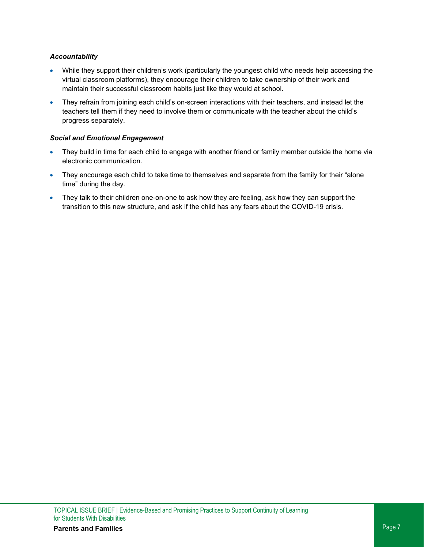#### *Accountability*

- While they support their children's work (particularly the youngest child who needs help accessing the virtual classroom platforms), they encourage their children to take ownership of their work and maintain their successful classroom habits just like they would at school.
- They refrain from joining each child's on-screen interactions with their teachers, and instead let the teachers tell them if they need to involve them or communicate with the teacher about the child's progress separately.

#### *Social and Emotional Engagement*

- They build in time for each child to engage with another friend or family member outside the home via electronic communication.
- They encourage each child to take time to themselves and separate from the family for their "alone time" during the day.
- They talk to their children one-on-one to ask how they are feeling, ask how they can support the transition to this new structure, and ask if the child has any fears about the COVID-19 crisis.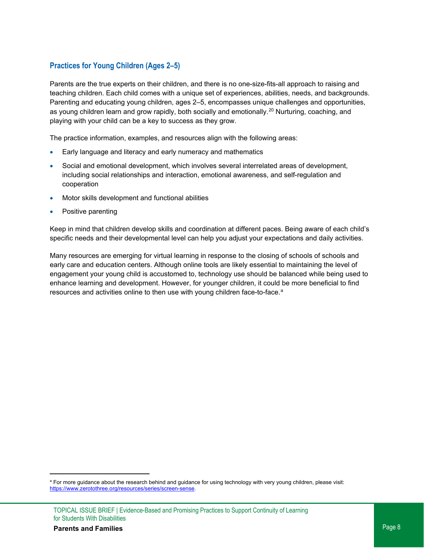### **Practices for Young Children (Ages 2–5)**

Parents are the true experts on their children, and there is no one-size-fits-all approach to raising and teaching children. Each child comes with a unique set of experiences, abilities, needs, and backgrounds. Parenting and educating young children, ages 2–5, encompasses unique challenges and opportunities, as young children learn and grow rapidly, both socially and emotionally.[20](#page-16-0) Nurturing, coaching, and playing with your child can be a key to success as they grow.

The practice information, examples, and resources align with the following areas:

- Early language and literacy and early numeracy and mathematics
- Social and emotional development, which involves several interrelated areas of development, including social relationships and interaction, emotional awareness, and self-regulation and cooperation
- Motor skills development and functional abilities
- Positive parenting

Keep in mind that children develop skills and coordination at different paces. Being aware of each child's specific needs and their developmental level can help you adjust your expectations and daily activities.

Many resources are emerging for virtual learning in response to the closing of schools of schools and early care and education centers. Although online tools are likely essential to maintaining the level of engagement your young child is accustomed to, technology use should be balanced while being used to enhance learning and development. However, for younger children, it could be more beneficial to find resources [a](#page-7-0)nd activities online to then use with young children face-to-face.<sup>a</sup>

<span id="page-7-0"></span><sup>&</sup>lt;sup>a</sup> For more guidance about the research behind and guidance for using technology with very young children, please visit: [https://www.zerotothree.org/resources/series/screen-sense.](https://www.zerotothree.org/resources/series/screen-sense)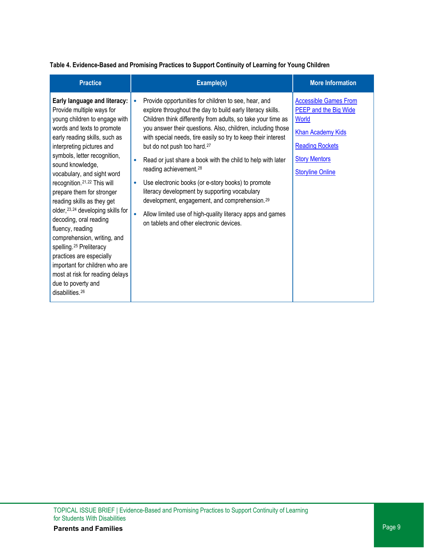#### **Table 4. Evidence-Based and Promising Practices to Support Continuity of Learning for Young Children**

| <b>Practice</b>                                                                                                                                                                                                                                                                                                                                                                                                                                                                                                                                                                                                                                                                                 | Example(s)                                                                                                                                                                                                                                                                                                                                                                                                                                                                                                                                                                                                                                                                                                                                                                | <b>More Information</b>                                                                                                                                                        |
|-------------------------------------------------------------------------------------------------------------------------------------------------------------------------------------------------------------------------------------------------------------------------------------------------------------------------------------------------------------------------------------------------------------------------------------------------------------------------------------------------------------------------------------------------------------------------------------------------------------------------------------------------------------------------------------------------|---------------------------------------------------------------------------------------------------------------------------------------------------------------------------------------------------------------------------------------------------------------------------------------------------------------------------------------------------------------------------------------------------------------------------------------------------------------------------------------------------------------------------------------------------------------------------------------------------------------------------------------------------------------------------------------------------------------------------------------------------------------------------|--------------------------------------------------------------------------------------------------------------------------------------------------------------------------------|
| Early language and literacy:<br>Provide multiple ways for<br>young children to engage with<br>words and texts to promote<br>early reading skills, such as<br>interpreting pictures and<br>symbols, letter recognition,<br>sound knowledge,<br>vocabulary, and sight word<br>recognition. <sup>21,22</sup> This will<br>prepare them for stronger<br>reading skills as they get<br>older, 23, 24 developing skills for<br>decoding, oral reading<br>fluency, reading<br>comprehension, writing, and<br>spelling. <sup>25</sup> Preliteracy<br>practices are especially<br>important for children who are<br>most at risk for reading delays<br>due to poverty and<br>disabilities. <sup>26</sup> | Provide opportunities for children to see, hear, and<br>$\bullet$<br>explore throughout the day to build early literacy skills.<br>Children think differently from adults, so take your time as<br>you answer their questions. Also, children, including those<br>with special needs, tire easily so try to keep their interest<br>but do not push too hard. <sup>27</sup><br>Read or just share a book with the child to help with later<br>reading achievement. <sup>28</sup><br>Use electronic books (or e-story books) to promote<br>$\bullet$<br>literacy development by supporting vocabulary<br>development, engagement, and comprehension. <sup>29</sup><br>Allow limited use of high-quality literacy apps and games<br>on tablets and other electronic devices. | <b>Accessible Games From</b><br><b>PEEP and the Big Wide</b><br>World<br><b>Khan Academy Kids</b><br><b>Reading Rockets</b><br><b>Story Mentors</b><br><b>Storyline Online</b> |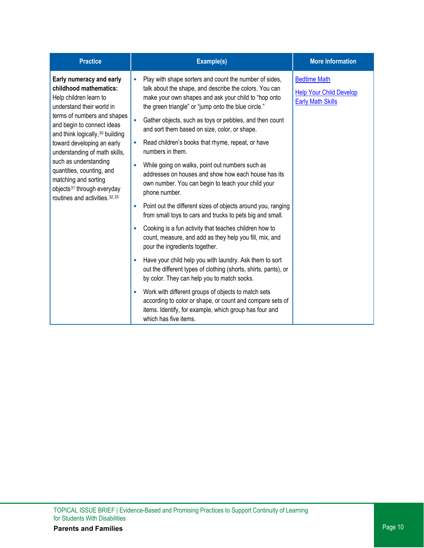| <b>Practice</b>                                                                                                                                         | Example(s)                                                                                                                                                                                                                                   | <b>More Information</b>                                                           |
|---------------------------------------------------------------------------------------------------------------------------------------------------------|----------------------------------------------------------------------------------------------------------------------------------------------------------------------------------------------------------------------------------------------|-----------------------------------------------------------------------------------|
| Early numeracy and early<br>childhood mathematics:<br>Help children learn to<br>understand their world in<br>terms of numbers and shapes                | Play with shape sorters and count the number of sides,<br>$\bullet$<br>talk about the shape, and describe the colors. You can<br>make your own shapes and ask your child to "hop onto<br>the green triangle" or "jump onto the blue circle." | <b>Bedtime Math</b><br><b>Help Your Child Develop</b><br><b>Early Math Skills</b> |
| and begin to connect ideas<br>and think logically, 30 building                                                                                          | Gather objects, such as toys or pebbles, and then count<br>$\bullet$<br>and sort them based on size, color, or shape.                                                                                                                        |                                                                                   |
| toward developing an early<br>understanding of math skills,                                                                                             | Read children's books that rhyme, repeat, or have<br>$\bullet$<br>numbers in them.                                                                                                                                                           |                                                                                   |
| such as understanding<br>quantities, counting, and<br>matching and sorting<br>objects <sup>31</sup> through everyday<br>routines and activities. 32, 33 | While going on walks, point out numbers such as<br>$\bullet$<br>addresses on houses and show how each house has its<br>own number. You can begin to teach your child your<br>phone number.                                                   |                                                                                   |
|                                                                                                                                                         | Point out the different sizes of objects around you, ranging<br>$\bullet$<br>from small toys to cars and trucks to pets big and small.                                                                                                       |                                                                                   |
|                                                                                                                                                         | Cooking is a fun activity that teaches children how to<br>$\bullet$<br>count, measure, and add as they help you fill, mix, and<br>pour the ingredients together.                                                                             |                                                                                   |
|                                                                                                                                                         | Have your child help you with laundry. Ask them to sort<br>out the different types of clothing (shorts, shirts, pants), or<br>by color. They can help you to match socks.                                                                    |                                                                                   |
|                                                                                                                                                         | Work with different groups of objects to match sets<br>$\bullet$<br>according to color or shape, or count and compare sets of<br>items. Identify, for example, which group has four and<br>which has five items.                             |                                                                                   |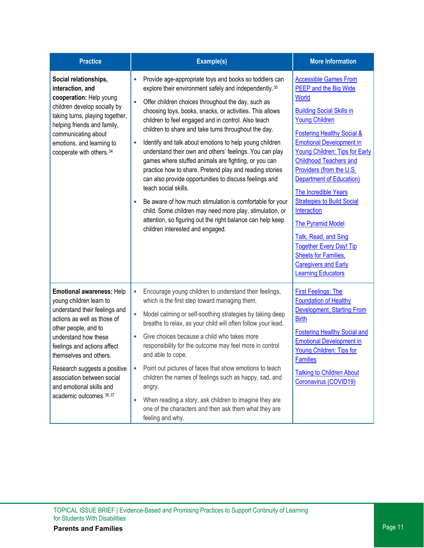| <b>Practice</b>                                                                                                                                                                                                                                                                                                                                     | Example(s)                                                                                                                                                                                                                                                                                                                                                                                                                                                                                                                                                                                                                                                                                                                                                                                                                                                                                                                                       | <b>More Information</b>                                                                                                                                                                                                                                                                                                                                                                                                                                                                                                                                                                                                      |
|-----------------------------------------------------------------------------------------------------------------------------------------------------------------------------------------------------------------------------------------------------------------------------------------------------------------------------------------------------|--------------------------------------------------------------------------------------------------------------------------------------------------------------------------------------------------------------------------------------------------------------------------------------------------------------------------------------------------------------------------------------------------------------------------------------------------------------------------------------------------------------------------------------------------------------------------------------------------------------------------------------------------------------------------------------------------------------------------------------------------------------------------------------------------------------------------------------------------------------------------------------------------------------------------------------------------|------------------------------------------------------------------------------------------------------------------------------------------------------------------------------------------------------------------------------------------------------------------------------------------------------------------------------------------------------------------------------------------------------------------------------------------------------------------------------------------------------------------------------------------------------------------------------------------------------------------------------|
| Social relationships,<br>interaction, and<br>cooperation: Help young<br>children develop socially by<br>taking turns, playing together,<br>helping friends and family,<br>communicating about<br>emotions, and learning to<br>cooperate with others. 34                                                                                             | Provide age-appropriate toys and books so toddlers can<br>٠<br>explore their environment safely and independently. <sup>35</sup><br>$\bullet$<br>Offer children choices throughout the day, such as<br>choosing toys, books, snacks, or activities. This allows<br>children to feel engaged and in control. Also teach<br>children to share and take turns throughout the day.<br>Identify and talk about emotions to help young children<br>$\bullet$<br>understand their own and others' feelings. You can play<br>games where stuffed animals are fighting, or you can<br>practice how to share. Pretend play and reading stories<br>can also provide opportunities to discuss feelings and<br>teach social skills.<br>Be aware of how much stimulation is comfortable for your<br>child. Some children may need more play, stimulation, or<br>attention, so figuring out the right balance can help keep<br>children interested and engaged. | <b>Accessible Games From</b><br>PEEP and the Big Wide<br><b>World</b><br><b>Building Social Skills in</b><br><b>Young Children</b><br><b>Fostering Healthy Social &amp;</b><br><b>Emotional Development in</b><br><b>Young Children: Tips for Early</b><br><b>Childhood Teachers and</b><br>Providers (from the U.S.<br><b>Department of Education</b> )<br><b>The Incredible Years</b><br><b>Strategies to Build Social</b><br>Interaction<br><b>The Pyramid Model</b><br>Talk, Read, and Sing<br><b>Together Every Day! Tip</b><br><b>Sheets for Families,</b><br><b>Caregivers and Early</b><br><b>Learning Educators</b> |
| Emotional awareness: Help<br>young children learn to<br>understand their feelings and<br>actions as well as those of<br>other people, and to<br>understand how these<br>feelings and actions affect<br>themselves and others.<br>Research suggests a positive<br>association between social<br>and emotional skills and<br>academic outcomes. 36,37 | Encourage young children to understand their feelings,<br>۰<br>which is the first step toward managing them.<br>Model calming or self-soothing strategies by taking deep<br>$\bullet$<br>breaths to relax, as your child will often follow your lead.<br>Give choices because a child who takes more<br>$\bullet$<br>responsibility for the outcome may feel more in control<br>and able to cope.<br>Point out pictures of faces that show emotions to teach<br>children the names of feelings such as happy, sad, and<br>angry.<br>When reading a story, ask children to imagine they are<br>one of the characters and then ask them what they are<br>feeling and why.                                                                                                                                                                                                                                                                          | <b>First Feelings: The</b><br><b>Foundation of Healthy</b><br><b>Development, Starting From</b><br><b>Birth</b><br><b>Fostering Healthy Social and</b><br><b>Emotional Development in</b><br>Young Children: Tips for<br><b>Families</b><br><b>Talking to Children About</b><br>Coronavirus (COVID19)                                                                                                                                                                                                                                                                                                                        |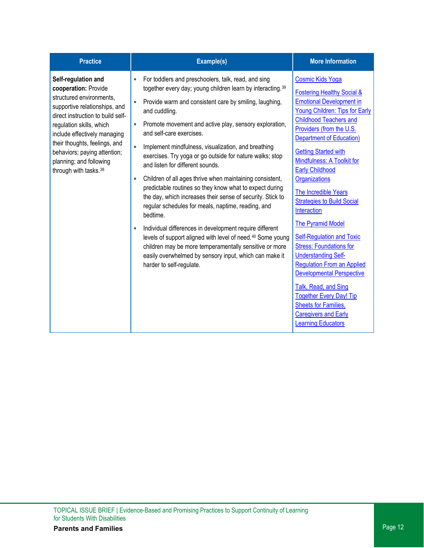| <b>Practice</b>                                                                                                                                                                                                                                                                                                                 | Example(s)                                                                                                                                                                                                                                                                                                                                                                                                                                                                                                                                                                                                                                                                                                                                                                                                                                                                                                                                                                                                                                                           | <b>More Information</b>                                                                                                                                                                                                                                                                                                                                                                                                                                                                                                                                                                                                                                                                                                                                                                         |
|---------------------------------------------------------------------------------------------------------------------------------------------------------------------------------------------------------------------------------------------------------------------------------------------------------------------------------|----------------------------------------------------------------------------------------------------------------------------------------------------------------------------------------------------------------------------------------------------------------------------------------------------------------------------------------------------------------------------------------------------------------------------------------------------------------------------------------------------------------------------------------------------------------------------------------------------------------------------------------------------------------------------------------------------------------------------------------------------------------------------------------------------------------------------------------------------------------------------------------------------------------------------------------------------------------------------------------------------------------------------------------------------------------------|-------------------------------------------------------------------------------------------------------------------------------------------------------------------------------------------------------------------------------------------------------------------------------------------------------------------------------------------------------------------------------------------------------------------------------------------------------------------------------------------------------------------------------------------------------------------------------------------------------------------------------------------------------------------------------------------------------------------------------------------------------------------------------------------------|
| Self-regulation and<br>cooperation: Provide<br>structured environments.<br>supportive relationships, and<br>direct instruction to build self-<br>regulation skills, which<br>include effectively managing<br>their thoughts, feelings, and<br>behaviors; paying attention;<br>planning; and following<br>through with tasks. 38 | For toddlers and preschoolers, talk, read, and sing<br>$\bullet$<br>together every day; young children learn by interacting. 39<br>Provide warm and consistent care by smiling, laughing,<br>$\bullet$<br>and cuddling.<br>Promote movement and active play, sensory exploration,<br>$\bullet$<br>and self-care exercises.<br>Implement mindfulness, visualization, and breathing<br>$\bullet$<br>exercises. Try yoga or go outside for nature walks; stop<br>and listen for different sounds.<br>Children of all ages thrive when maintaining consistent,<br>$\bullet$<br>predictable routines so they know what to expect during<br>the day, which increases their sense of security. Stick to<br>regular schedules for meals, naptime, reading, and<br>bedtime.<br>Individual differences in development require different<br>$\bullet$<br>levels of support aligned with level of need. <sup>40</sup> Some young<br>children may be more temperamentally sensitive or more<br>easily overwhelmed by sensory input, which can make it<br>harder to self-regulate. | <b>Cosmic Kids Yoga</b><br><b>Fostering Healthy Social &amp;</b><br><b>Emotional Development in</b><br>Young Children: Tips for Early<br><b>Childhood Teachers and</b><br>Providers (from the U.S.<br><b>Department of Education</b> )<br><b>Getting Started with</b><br>Mindfulness: A Toolkit for<br><b>Early Childhood</b><br>Organizations<br><b>The Incredible Years</b><br><b>Strategies to Build Social</b><br>Interaction<br><b>The Pyramid Model</b><br><b>Self-Regulation and Toxic</b><br><b>Stress: Foundations for</b><br><b>Understanding Self-</b><br><b>Regulation From an Applied</b><br><b>Developmental Perspective</b><br>Talk, Read, and Sing<br><b>Together Every Day! Tip</b><br><b>Sheets for Families,</b><br><b>Caregivers and Early</b><br><b>Learning Educators</b> |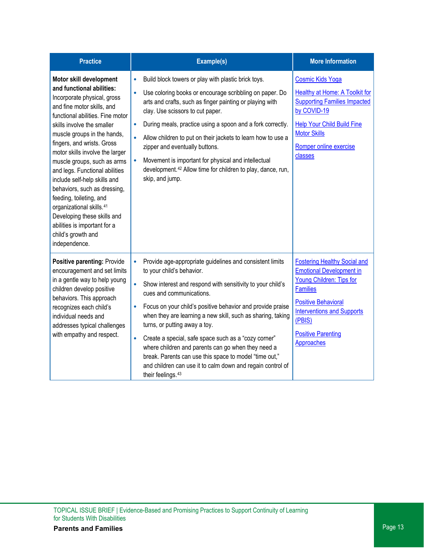| <b>Practice</b>                                                                                                                                                                                                                                                                                                                                                                                                                                                                                                                                                                               | Example(s)                                                                                                                                                                                                                                                                                                                                                                                                                                                                                                                                                                                                                                       | <b>More Information</b>                                                                                                                                                                                                                              |
|-----------------------------------------------------------------------------------------------------------------------------------------------------------------------------------------------------------------------------------------------------------------------------------------------------------------------------------------------------------------------------------------------------------------------------------------------------------------------------------------------------------------------------------------------------------------------------------------------|--------------------------------------------------------------------------------------------------------------------------------------------------------------------------------------------------------------------------------------------------------------------------------------------------------------------------------------------------------------------------------------------------------------------------------------------------------------------------------------------------------------------------------------------------------------------------------------------------------------------------------------------------|------------------------------------------------------------------------------------------------------------------------------------------------------------------------------------------------------------------------------------------------------|
| Motor skill development<br>and functional abilities:<br>Incorporate physical, gross<br>and fine motor skills, and<br>functional abilities. Fine motor<br>skills involve the smaller<br>muscle groups in the hands,<br>fingers, and wrists. Gross<br>motor skills involve the larger<br>muscle groups, such as arms<br>and legs. Functional abilities<br>include self-help skills and<br>behaviors, such as dressing,<br>feeding, toileting, and<br>organizational skills. <sup>41</sup><br>Developing these skills and<br>abilities is important for a<br>child's growth and<br>independence. | Build block towers or play with plastic brick toys.<br>$\bullet$<br>Use coloring books or encourage scribbling on paper. Do<br>$\bullet$<br>arts and crafts, such as finger painting or playing with<br>clay. Use scissors to cut paper.<br>During meals, practice using a spoon and a fork correctly.<br>$\bullet$<br>Allow children to put on their jackets to learn how to use a<br>$\bullet$<br>zipper and eventually buttons.<br>Movement is important for physical and intellectual<br>development. <sup>42</sup> Allow time for children to play, dance, run,<br>skip, and jump.                                                          | <b>Cosmic Kids Yoga</b><br><b>Healthy at Home: A Toolkit for</b><br><b>Supporting Families Impacted</b><br>by COVID-19<br><b>Help Your Child Build Fine</b><br><b>Motor Skills</b><br>Romper online exercise<br>classes                              |
| Positive parenting: Provide<br>encouragement and set limits<br>in a gentle way to help young<br>children develop positive<br>behaviors. This approach<br>recognizes each child's<br>individual needs and<br>addresses typical challenges<br>with empathy and respect.                                                                                                                                                                                                                                                                                                                         | Provide age-appropriate guidelines and consistent limits<br>$\bullet$<br>to your child's behavior.<br>Show interest and respond with sensitivity to your child's<br>$\bullet$<br>cues and communications.<br>Focus on your child's positive behavior and provide praise<br>$\bullet$<br>when they are learning a new skill, such as sharing, taking<br>turns, or putting away a toy.<br>Create a special, safe space such as a "cozy corner"<br>where children and parents can go when they need a<br>break. Parents can use this space to model "time out,"<br>and children can use it to calm down and regain control of<br>their feelings. 43 | <b>Fostering Healthy Social and</b><br><b>Emotional Development in</b><br>Young Children: Tips for<br><b>Families</b><br><b>Positive Behavioral</b><br><b>Interventions and Supports</b><br>(PBIS)<br><b>Positive Parenting</b><br><b>Approaches</b> |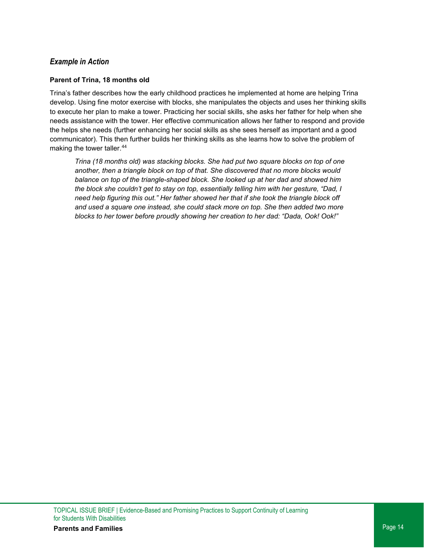### *Example in Action*

#### **Parent of Trina, 18 months old**

Trina's father describes how the early childhood practices he implemented at home are helping Trina develop. Using fine motor exercise with blocks, she manipulates the objects and uses her thinking skills to execute her plan to make a tower. Practicing her social skills, she asks her father for help when she needs assistance with the tower. Her effective communication allows her father to respond and provide the helps she needs (further enhancing her social skills as she sees herself as important and a good communicator). This then further builds her thinking skills as she learns how to solve the problem of making the tower taller.<sup>[44](#page-18-1)</sup>

*Trina (18 months old) was stacking blocks. She had put two square blocks on top of one another, then a triangle block on top of that. She discovered that no more blocks would balance on top of the triangle-shaped block. She looked up at her dad and showed him the block she couldn't get to stay on top, essentially telling him with her gesture, "Dad, I need help figuring this out." Her father showed her that if she took the triangle block off and used a square one instead, she could stack more on top. She then added two more blocks to her tower before proudly showing her creation to her dad: "Dada, Ook! Ook!"*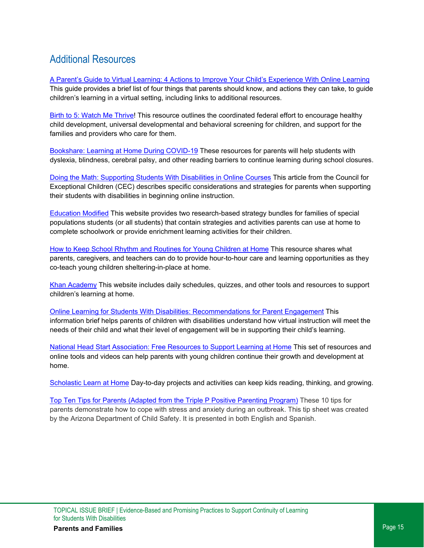## Additional Resources

[A Parent's Guide to Virtual Learning: 4 Actions to Improve Your Child's Experience With Online Learning](https://www.ncld.org/wp-content/uploads/2020/03/A-Parents-Guide-to-Virtual-Learning-4-Actions-To-Improve-your-Childs-Experience-with-Online-Learning.pdf) This guide provides a brief list of four things that parents should know, and actions they can take, to guide children's learning in a virtual setting, including links to additional resources.

[Birth to 5: Watch Me Thrive!](https://www.acf.hhs.gov/ecd/child-health-development/watch-me-thrive) This resource outlines the coordinated federal effort to encourage healthy child development, universal developmental and behavioral screening for children, and support for the families and providers who care for them.

[Bookshare: Learning at Home During COVID-19](https://www.bookshare.org/cms/help-center/learning-center/learning-at-home-parents) These resources for parents will help students with dyslexia, blindness, cerebral palsy, and other reading barriers to continue learning during school closures.

[Doing the Math: Supporting Students With Disabilities in Online Courses](https://journals.sagepub.com/doi/full/10.1177/0040059914528330) This article from the Council for Exceptional Children (CEC) describes specific considerations and strategies for parents when supporting their students with disabilities in beginning online instruction.

[Education Modified](http://educationmodified-4381533.hs-sites.com/at-home-learning-resources) This website provides two research-based strategy bundles for families of special populations students (or all students) that contain strategies and activities parents can use at home to complete schoolwork or provide enrichment learning activities for their children.

[How to Keep School Rhythm and Routines for Young Children at Home](https://www.edsurge.com/news/2020-03-17-how-to-keep-school-rhythm-and-routines-for-young-children-at-home) This resource shares what parents, caregivers, and teachers can do to provide hour-to-hour care and learning opportunities as they co-teach young children sheltering-in-place at home.

[Khan Academy](https://khanacademy.zendesk.com/hc/en-us/articles/360040167432-How-can-Khan-Academy-be-used-for-remote-learning-during-school-closures-) This website includes daily schedules, quizzes, and other tools and resources to support children's learning at home.

[Online Learning for Students With Disabilities: Recommendations for Parent Engagement](http://www.centerononlinelearning.res.ku.edu/wp-content/uploads/2017/04/Parent_Resource_Document_December2016.pdf) This information brief helps parents of children with disabilities understand how virtual instruction will meet the needs of their child and what their level of engagement will be in supporting their child's learning.

[National Head Start Association: Free Resources to Support Learning at Home](https://www.nhsa.org/educational-resources-learning-home) This set of resources and online tools and videos can help parents with young children continue their growth and development at home.

[Scholastic Learn at Home](https://classroommagazines.scholastic.com/support/learnathome.html?caching) Day-to-day projects and activities can keep kids reading, thinking, and growing.

Top Ten Tips for Parents (Adapted from the [Triple P Positive](https://nam01.safelinks.protection.outlook.com/?url=http%3A%2F%2Fwww.tusd1.org%2FPortals%2FTUSD1%2FDistrict%2Fdocs%2FAnnouncements%2Ftoptenforparents.pdf&data=02%7C01%7Cmirvine%40air.org%7C8bd75f7c88a548f36d8408d7d1bb99ba%7C9ea45dbc7b724abfa77cc770a0a8b962%7C0%7C0%7C637208475977738333&sdata=NuPwaPJfWB7l1nywzvIL7GLUQ1jT5CsyANvxgzKNKDk%3D&reserved=0) Parenting Program) These 10 tips for parents demonstrate how to cope with stress and anxiety during an outbreak. This tip sheet was created by the Arizona Department of Child Safety. It is presented in both English and Spanish.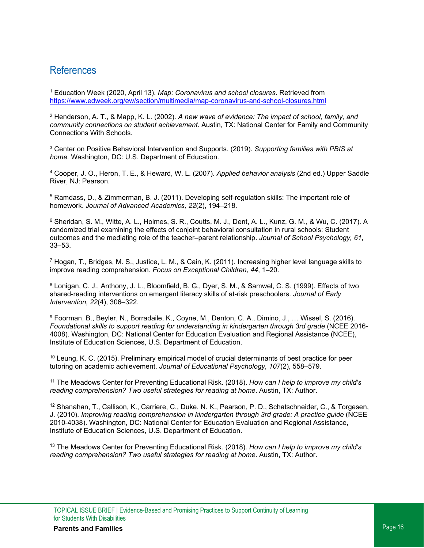## <span id="page-15-0"></span>References

<sup>1</sup> Education Week (2020, April 13). *Map: Coronavirus and school closures*. Retrieved from <https://www.edweek.org/ew/section/multimedia/map-coronavirus-and-school-closures.html>

<sup>2</sup> Henderson, A. T., & Mapp, K. L. (2002). *A new wave of evidence: The impact of school, family, and community connections on student achievement*. Austin, TX: National Center for Family and Community Connections With Schools.

<sup>3</sup> Center on Positive Behavioral Intervention and Supports. (2019). *Supporting families with PBIS at home.* Washington, DC: U.S. Department of Education.

<sup>4</sup> Cooper, J. O., Heron, T. E., & Heward, W. L. (2007). *Applied behavior analysis* (2nd ed.) Upper Saddle River, NJ: Pearson.

<sup>5</sup> Ramdass, D., & Zimmerman, B. J. (2011). Developing self-regulation skills: The important role of homework. *Journal of Advanced Academics, 22*(2), 194–218.

<sup>6</sup> Sheridan, S. M., Witte, A. L., Holmes, S. R., Coutts, M. J., Dent, A. L., Kunz, G. M., & Wu, C. (2017). A randomized trial examining the effects of conjoint behavioral consultation in rural schools: Student outcomes and the mediating role of the teacher–parent relationship. *Journal of School Psychology, 61*, 33–53.

 $^7$  Hogan, T., Bridges, M. S., Justice, L. M., & Cain, K. (2011). Increasing higher level language skills to improve reading comprehension. *Focus on Exceptional Children, 44*, 1–20.

<sup>8</sup> Lonigan, C. J., Anthony, J. L., Bloomfield, B. G., Dyer, S. M., & Samwel, C. S. (1999). Effects of two shared-reading interventions on emergent literacy skills of at-risk preschoolers. *Journal of Early Intervention, 22*(4), 306–322.

9 Foorman, B., Beyler, N., Borradaile, K., Coyne, M., Denton, C. A., Dimino, J., ... Wissel, S. (2016). *Foundational skills to support reading for understanding in kindergarten through 3rd grade* (NCEE 2016- 4008). Washington, DC: National Center for Education Evaluation and Regional Assistance (NCEE), Institute of Education Sciences, U.S. Department of Education.

 $10$  Leung, K. C. (2015). Preliminary empirical model of crucial determinants of best practice for peer tutoring on academic achievement. *Journal of Educational Psychology, 107*(2), 558–579.

<sup>11</sup> The Meadows Center for Preventing Educational Risk. (2018). *How can I help to improve my child's reading comprehension? Two useful strategies for reading at home*. Austin, TX: Author.

<sup>12</sup> Shanahan, T., Callison, K., Carriere, C., Duke, N. K., Pearson, P. D., Schatschneider, C., & Torgesen, J. (2010). *Improving reading comprehension in kindergarten through 3rd grade: A practice guide* (NCEE 2010-4038). Washington, DC: National Center for Education Evaluation and Regional Assistance, Institute of Education Sciences, U.S. Department of Education.

<sup>13</sup> The Meadows Center for Preventing Educational Risk. (2018). *How can I help to improve my child's reading comprehension? Two useful strategies for reading at home*. Austin, TX: Author.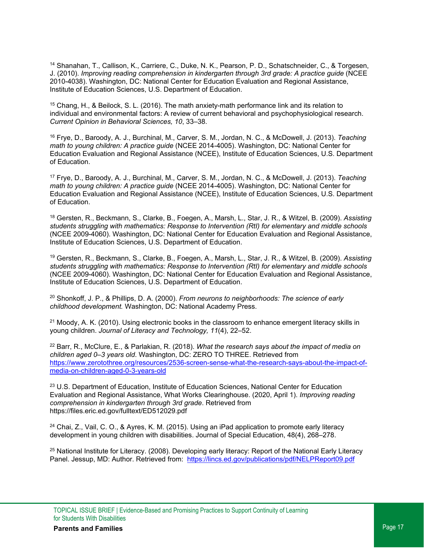<span id="page-16-1"></span><span id="page-16-0"></span><sup>14</sup> Shanahan, T., Callison, K., Carriere, C., Duke, N. K., Pearson, P. D., Schatschneider, C., & Torgesen, J. (2010). *Improving reading comprehension in kindergarten through 3rd grade: A practice guide* (NCEE 2010-4038). Washington, DC: National Center for Education Evaluation and Regional Assistance, Institute of Education Sciences, U.S. Department of Education.

<sup>15</sup> Chang, H., & Beilock, S. L. (2016). The math anxiety-math performance link and its relation to individual and environmental factors: A review of current behavioral and psychophysiological research. *Current Opinion in Behavioral Sciences, 10*, 33–38.

<sup>16</sup> Frye, D., Baroody, A. J., Burchinal, M., Carver, S. M., Jordan, N. C., & McDowell, J. (2013). *Teaching math to young children: A practice guide* (NCEE 2014-4005). Washington, DC: National Center for Education Evaluation and Regional Assistance (NCEE), Institute of Education Sciences, U.S. Department of Education.

<sup>17</sup> Frye, D., Baroody, A. J., Burchinal, M., Carver, S. M., Jordan, N. C., & McDowell, J. (2013). *Teaching math to young children: A practice guide* (NCEE 2014-4005). Washington, DC: National Center for Education Evaluation and Regional Assistance (NCEE), Institute of Education Sciences, U.S. Department of Education.

<sup>18</sup> Gersten, R., Beckmann, S., Clarke, B., Foegen, A., Marsh, L., Star, J. R., & Witzel, B. (2009). *Assisting students struggling with mathematics: Response to Intervention (RtI) for elementary and middle schools* (NCEE 2009-4060). Washington, DC: National Center for Education Evaluation and Regional Assistance, Institute of Education Sciences, U.S. Department of Education.

<sup>19</sup> Gersten, R., Beckmann, S., Clarke, B., Foegen, A., Marsh, L., Star, J. R., & Witzel, B. (2009). *Assisting students struggling with mathematics: Response to Intervention (RtI) for elementary and middle schools* (NCEE 2009-4060). Washington, DC: National Center for Education Evaluation and Regional Assistance, Institute of Education Sciences, U.S. Department of Education.

<sup>20</sup> Shonkoff, J. P., & Phillips, D. A. (2000). *From neurons to neighborhoods: The science of early childhood development.* Washington, DC: National Academy Press.

 $21$  Moody, A. K. (2010). Using electronic books in the classroom to enhance emergent literacy skills in young children. *Journal of Literacy and Technology, 11*(4), 22–52.

<sup>22</sup> Barr, R., McClure, E., & Parlakian, R. (2018). *What the research says about the impact of media on children aged 0–3 years old*. Washington, DC: ZERO TO THREE. Retrieved from [https://www.zerotothree.org/resources/2536-screen-sense-what-the-research-says-about-the-impact-of](https://www.zerotothree.org/resources/2536-screen-sense-what-the-research-says-about-the-impact-of-media-on-children-aged-0-3-years-old)media-on-children-aged-0-3-years-old

<sup>23</sup> U.S. Department of Education, Institute of Education Sciences, National Center for Education Evaluation and Regional Assistance, What Works Clearinghouse. (2020, April 1). *Improving reading comprehension in kindergarten through 3rd grade*. Retrieved from https://files.eric.ed.gov/fulltext/ED512029.pdf

 $24$  Chai, Z., Vail, C. O., & Ayres, K. M. (2015). Using an iPad application to promote early literacy development in young children with disabilities. Journal of Special Education, 48(4), 268–278.

<sup>25</sup> National Institute for Literacy. (2008). Developing early literacy: Report of the National Early Literacy Panel. Jessup, MD: Author. Retrieved from: <https://lincs.ed.gov/publications/pdf/NELPReport09.pdf>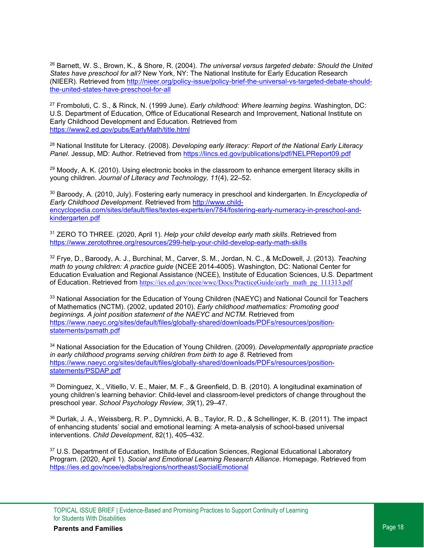<span id="page-17-0"></span><sup>26</sup> Barnett, W. S., Brown, K., & Shore, R. (2004). *The universal versus targeted debate: Should the United States have preschool for all?* New York, NY: The National Institute for Early Education Research [\(NIEER\). Retrieved from http://nieer.org/policy-issue/policy-brief-the-universal-vs-targeted-debate-should](http://nieer.org/policy-issue/policy-brief-the-universal-vs-targeted-debate-should-the-united-states-have-preschool-for-all)the-united-states-have-preschool-for-all

<sup>27</sup> Fromboluti, C. S., & Rinck, N. (1999 June). *Early childhood: Where learning begins*. Washington, DC: U.S. Department of Education, Office of Educational Research and Improvement, National Institute on Early Childhood Development and Education. Retrieved from <https://www2.ed.gov/pubs/EarlyMath/title.html>

<sup>28</sup> National Institute for Literacy. (2008). *Developing early literacy: Report of the National Early Literacy Panel*. Jessup, MD: Author. Retrieved from<https://lincs.ed.gov/publications/pdf/NELPReport09.pdf>

 $29$  Moody, A. K. (2010). Using electronic books in the classroom to enhance emergent literacy skills in young children. *Journal of Literacy and Technology, 11*(4), 22–52.

<sup>30</sup> Baroody, A. (2010, July). Fostering early numeracy in preschool and kindergarten. In *Encyclopedia of Early Childhood Development.* Retrieved from http://www.child[encyclopedia.com/sites/default/files/textes-experts/en/784/fostering-early-numeracy-in-preschool-and](http://www.child-encyclopedia.com/sites/default/files/textes-experts/en/784/fostering-early-numeracy-in-preschool-and-kindergarten.pdf)kindergarten.pdf

<sup>31</sup> ZERO TO THREE. (2020, April 1). *Help your child develop early math skills*. Retrieved from <https://www.zerotothree.org/resources/299-help-your-child-develop-early-math-skills>

<sup>32</sup> Frye, D., Baroody, A. J., Burchinal, M., Carver, S. M., Jordan, N. C., & McDowell, J. (2013). *Teaching math to young children: A practice guide* (NCEE 2014-4005). Washington, DC: National Center for Education Evaluation and Regional Assistance (NCEE), Institute of Education Sciences, U.S. Department of Education. Retrieved from [https://ies.ed.gov/ncee/wwc/Docs/PracticeGuide/early\\_math\\_pg\\_111313.pdf](https://ies.ed.gov/ncee/wwc/Docs/PracticeGuide/early_math_pg_111313.pdf) 

<sup>33</sup> National Association for the Education of Young Children (NAEYC) and National Council for Teachers of Mathematics (NCTM). (2002, updated 2010). *Early childhood mathematics: Promoting good beginnings. A joint position statement of the NAEYC and NCTM*. Retrieved from [https://www.naeyc.org/sites/default/files/globally-shared/downloads/PDFs/resources/position](https://www.naeyc.org/sites/default/files/globally-shared/downloads/PDFs/resources/position-statements/psmath.pdf)statements/psmath.pdf

<sup>34</sup> National Association for the Education of Young Children. (2009). *Developmentally appropriate practice in early childhood programs serving children from birth to age 8*. Retrieved from [https://www.naeyc.org/sites/default/files/globally-shared/downloads/PDFs/resources/position](https://www.naeyc.org/sites/default/files/globally-shared/downloads/PDFs/resources/position-statements/PSDAP.pdf)statements/PSDAP.pdf

<sup>35</sup> Dominguez, X., Vitiello, V. E., Maier, M. F., & Greenfield, D. B. (2010). A longitudinal examination of young children's learning behavior: Child-level and classroom-level predictors of change throughout the preschool year. *School Psychology Review, 39*(1), 29–47.

<sup>36</sup> Durlak, J. A., Weissberg, R. P., Dymnicki, A. B., Taylor, R. D., & Schellinger, K. B. (2011). The impact of enhancing students' social and emotional learning: A meta-analysis of school-based universal interventions. *Child Development*, 82(1), 405–432.

<sup>37</sup> U.S. Department of Education, Institute of Education Sciences, Regional Educational Laboratory Program. (2020, April 1). *Social and Emotional Learning Research Alliance*. Homepage. Retrieved from <https://ies.ed.gov/ncee/edlabs/regions/northeast/SocialEmotional>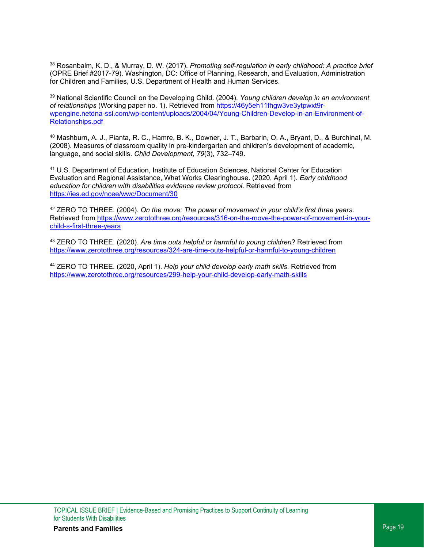<span id="page-18-1"></span><span id="page-18-0"></span><sup>38</sup> Rosanbalm, K. D., & Murray, D. W. (2017). *Promoting self-regulation in early childhood: A practice brief* (OPRE Brief #2017-79). Washington, DC: Office of Planning, Research, and Evaluation, Administration for Children and Families, U.S. Department of Health and Human Services.

<sup>39</sup> National Scientific Council on the Developing Child. (2004). *Young children develop in an environment of relationships* (Working paper no. 1). Retrieved from https://46y5eh11fhgw3ve3ytpwxt9r[wpengine.netdna-ssl.com/wp-content/uploads/2004/04/Young-Children-Develop-in-an-Environment-of-](https://46y5eh11fhgw3ve3ytpwxt9r-wpengine.netdna-ssl.com/wp-content/uploads/2004/04/Young-Children-Develop-in-an-Environment-of-Relationships.pdf)Relationships.pdf

<sup>40</sup> Mashburn, A. J., Pianta, R. C., Hamre, B. K., Downer, J. T., Barbarin, O. A., Bryant, D., & Burchinal, M. (2008). Measures of classroom quality in pre-kindergarten and children's development of academic, language, and social skills. *Child Development, 79*(3), 732–749.

<sup>41</sup> U.S. Department of Education, Institute of Education Sciences, National Center for Education Evaluation and Regional Assistance, What Works Clearinghouse. (2020, April 1). *Early childhood education for children with disabilities evidence review protocol*. Retrieved from <https://ies.ed.gov/ncee/wwc/Document/30>

<sup>42</sup> ZERO TO THREE. (2004). *On the move: The power of movement in your child's first three years*. Retrieved from [https://www.zerotothree.org/resources/316-on-the-move-the-power-of-movement-in-your](https://www.zerotothree.org/resources/316-on-the-move-the-power-of-movement-in-your-child-s-first-three-years)child-s-first-three-years

<sup>43</sup> ZERO TO THREE. (2020). *Are time outs helpful or harmful to young children*? Retrieved from <https://www.zerotothree.org/resources/324-are-time-outs-helpful-or-harmful-to-young-children>

<sup>44</sup> ZERO TO THREE. (2020, April 1). *Help your child develop early math skills.* Retrieved from <https://www.zerotothree.org/resources/299-help-your-child-develop-early-math-skills>